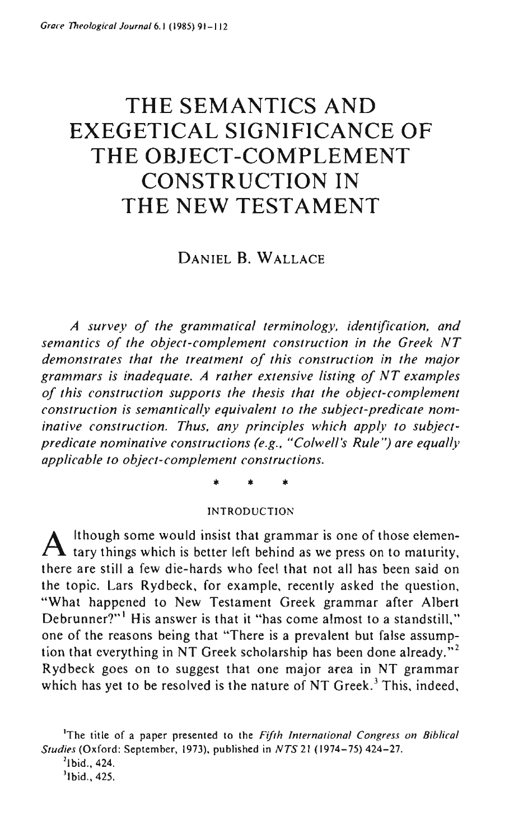# **THE SEMANTICS AND EXEGETICAL SIGNIFICANCE OF THE OBJECT-COMPLEMENT CONSTRUCTION IN THE NEW TESTAMENT**

## DANIEL B. WALLACE

*A survey oj the grammatical terminology, identification, and semantics oj the object-complement construction* in *the Greek NT demonstrates that the treatment oj this construction in the major grammars* is *inadequate. A rather extensive listing oj NT examples oj this construction supports the thesis that the object-complement construction is semantically equivalent to the subject-predicate nominative construction. Thus, any principles which apply to subjectpredicate nominative constructions (e.g., "Colwell's Rule'') are equally applicable to object-complement constructions.* 

\* \* \*

#### INTRODUCTION

 $A$  Ithough some would insist that grammar is one of those elemen-<br>tary things which is better left behind as we press on to maturity, there are still a few die-hards who feel that not all has been said on the topic. Lars Rydbeck, for example, recently asked the question, "What happened to New Testament Greek grammar after Albert Debrunner?"<sup>1</sup> His answer is that it "has come almost to a standstill," one of the reasons being that "There is a prevalent but false assumption that everything in NT Greek scholarship has been done already."<sup>2</sup> Rydbeck goes on to suggest that one major area in NT grammar which has yet to be resolved is the nature of NT Greek.<sup>3</sup> This, indeed,

**lThe title of a paper presented to the** *Fifth International Congress on Biblical Studies* (Oxford: September, 1973), published in *NTS* 21 (1974-75) 424-27.

 $2$ Ibid., 424.

<sup>&#</sup>x27;Ibid., 425.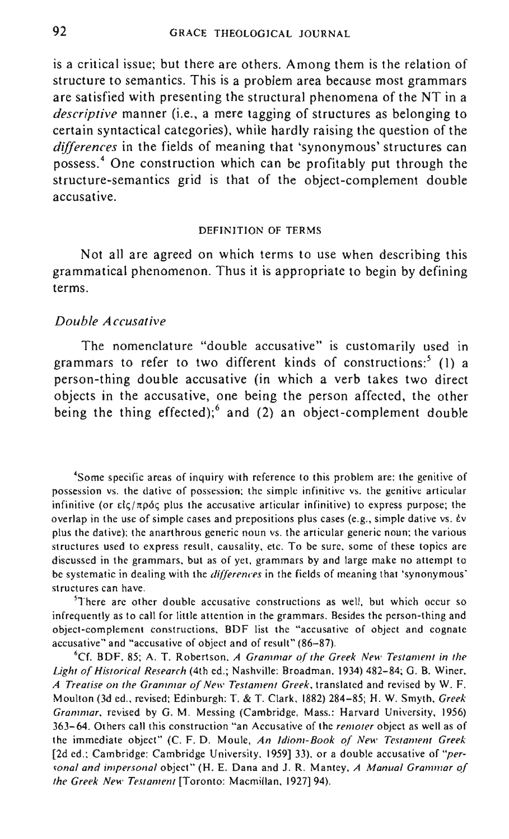is a critical issue; but there are others. Among them is the relation of structure to semantics. This is a problem area because most grammars are satisfied with presenting the structural phenomena of the NT in a *descriptive* manner (i.e., a mere tagging of structures as belonging to certain syntactical categories), while hardly raising the question of the *differences* in the fields of meaning that 'synonymous' structures can possess: One construction which can be profitably put through the structure-semantics grid is that of the object-complement double accusative.

#### DEFINITION OF TERMS

Not all are agreed on which terms to use when describing this grammatical phenomenon. Thus it is appropriate to begin by defining terms.

#### *Double Accusative*

The nomenclature "double accusative" is customarily used in grammars to refer to two different kinds of constructions:' (I) a person-thing double accusative (in which a verb takes two direct objects in the accusative, one being the person affected, the other being the thing effected); and (2) an object-complement double

**4Sorne specific areas of inquiry with reference to this problem are: the genitive of**  possession vs. the dative of possession; the simple infinitive vs. the genitive articular infinitive (or είς/πρός plus the accusative articular infinitive) to express purpose; the **overlap in the use of simple cases and prepositions plus cases (e.g., simple dative vs. EV plus the dative); the anarthrous generic noun vs. the articular generic noun; the various structures used to express result, causality, etc. To be sure, some of these topics are discussed in the grammars. but as of yet, grammars by and large make no attempt to**  be systematic in dealing with the *differences* in the fields of meaning that 'synonymous' **structures can have.** 

**5There are other double accusative constructions as well, but which occur so infrequently as to call for little attention in the grammars. Besides the person-thing and object-complement constructions, BDF list the "accusative of object and cognate**  accusative" and "accusative of object and of result'" (86-87).

'Cf. BDF. 85; A. T. Robertson. *A Grammar of the Greek New Testament in the*  Light of Historical Research (4th ed.; Nashville: Broadman. 1934) 482-84; G. B. Winer, A Treatise on the Grammar of New Testament Greek, translated and revised by W. F. Moulton (3d ed .. revised: Edinburgh: T. & T. Clark. 1882) 284-85; H. W. Smyth. *Greek Grammar.* revised by G. M. Messing (Cambridge. Mass.: Harvard University, 1956) **363-64. Others call this construction "an Accusative of the** *remoter* **object as well as of the immediate object" (c. F. D. Moule,** *An Idiom-Book of New Testament Greek*  [2d cd.; Cambridge: Cambridge University, 1959]33), or a double accusative of *"per· sonal and impersonal* **object" (H. E. Dana and J. R. Mantey.** *A Manual Grammar of the Greek New Testament* [Toronto: Macmillan. 1927]94).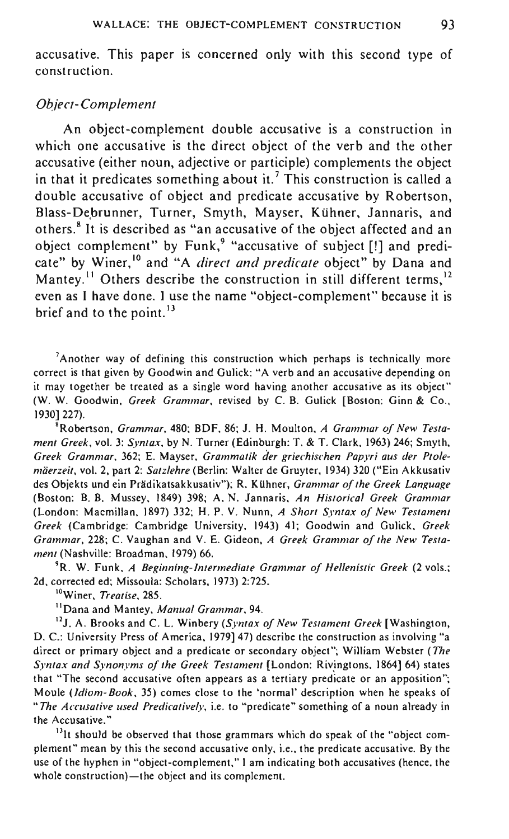accusative. This paper is concerned only with this second type of construction.

#### *Object-Complement*

An object-complement double accusative is a construction in which one accusative is the direct object of the verb and the other accusative (either noun, adjective or participle) complements the object in that it predicates something about it.<sup>7</sup> This construction is called a double accusative of object and predicate accusative by Robertson, Blass-Debrunner, Turner, Smyth, Mayser, Kühner, Jannaris, and others. <sup>8</sup>It is described as "an accusative of the object affected and an object complement" by Funk,<sup>9</sup> "accusative of subject [!] and predicate" by Winer,<sup>10</sup> and "A *direct and predicate* object" by Dana and Mantey.<sup>11</sup> Others describe the construction in still different terms,<sup>12</sup> even as I have done. I use the name "object-complement" because it is brief and to the point.<sup>13</sup>

 $<sup>7</sup>$ Another way of defining this construction which perhaps is technically more</sup> **correct is that given by Goodwin and Gulick: "A verb and an accusative depending on it may together be treated as a single word having another accusative as its object"**  (W. W. Goodwin, Greek Grammar, revised by C. B. Gulick [Boston: Ginn & Co., 1930]227).

'Robertson, *Grammar.* 480; BDF. 86; *l.* H. Moulton, *A Grammar oj New Testament Greek.* vol. 3: *Syntax.* by N. Turner (Edinburgh: T. & T. Clark. 1963) 246; Smyth. *Greek Grammar.* 362; E. Mayser. *Grammatik der griechischen Papyri aus der Ptolemaerzeit,* vol. 2. part 2: *Satzlehre* (Berlin: Walter de Gruyter. 1934) 320 ("Ein Akkusativ des Objekts und ein Prädikatsakkusativ"); R. Kühner, *Grammar of the Greek Language* (Boston: B. B. Mussey. 1849) 398; A. N. lannaris. *An Historical Greek Grammar*  (London: Macmillan, 1897) 332; H. P. V. Nunn. *A Short Syntax oj New Testament Greek* (Cambridge: Cambridge University, 1943) 41; Goodwin and Gulick, *Greek Grammar,* 228; C. Vaughan and V. E. Gideon, *A Greek Grammar oj the New Testament* (Nashville: Broadman, 1979) 66.

**9R. W. Funk,** *A Beginning-Intermediate Grammar of Hellenislic Greek* **(2 vols.:**  2d, corrected ed; Missoula: Scholars, 1973) 2:725.

**lOWiner,** *Treatise, 285.* 

11 Dana and Mantey, *Manual Grammar, 94.* 

<sup>12</sup>*l.* A. Brooks and C. L. Winbery *(Syntax of New Testament Greek* [Washington. D. C.: University Press of America, 1979] 47) describe the construction as involving "a direct or primary object and a predicate or secondary object"; William Webster *(The*  Syntax and Synonyms of the Greek Testament *[London: Rivingtons, 1864] 64*) states that "The second accusative often appears as a tertiary predicate or an apposition"; **Moule** *(ldiom- Book,* **35) comes close to the "normal' description when he speaks of**  *·'The Accusative used Predicatively,* **i.e. to "predicate" something of a noun already in the Accusative."** 

 $<sup>13</sup>$ It should be observed that those grammars which do speak of the "object com-</sup> **plement" mean by this the second accusative only, i.e. , the predicate accusative. By the**  use of the hyphen in "object-complement," I am indicating both accusatives (hence, the **whole construction}-the object and its complement.**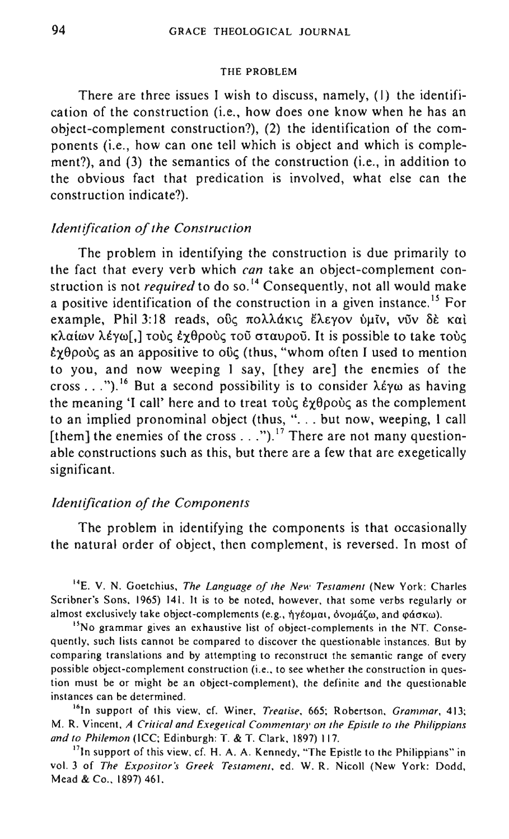#### THE PROBLEM

There are three issues I wish to discuss, namely, (I) the identification of the construction (i.e., how does one know when he has an object-complement construction?), (2) the identification of the components (i.e., how can one tell which is object and which is complement?), and (3) the semantics of the construction (i.e., in addition to the obvious fact that predication is involved, what else can the construction indicate?).

## *Identification oj the Construction*

The problem in identifying the construction is due primarily to the fact that every verb which *can* take an object-complement construction is not *required* to do so.<sup>14</sup> Consequently, not all would make a positive identification of the construction in a given instance.<sup>15</sup> For example, Phil 3:18 reads, ούς πολλάκις έλεγον ύμιν, νύν δε και κλαίων λέγω[,] τους έχθρους του σταυρού. It is possible to take τους  $\ell \gamma \theta$ ρούς as an appositive to οϋς (thus, "whom often I used to mention to you, and now weeping I say, [they are] the enemies of the cross ...").<sup>16</sup> But a second possibility is to consider λέγω as having the meaning 'I call' here and to treat  $\tau \circ \psi \in \mathcal{E}_{\mathcal{X}}$  as the complement to an implied pronominal object (thus, "... but now, weeping, I call [them] the enemies of the cross . ..").<sup>17</sup> There are not many questionable constructions such as this, but there are a few that are exegetically significant.

## *Identification oj the Components*

The problem in identifying the components is that occasionally the natural order of object, then complement, is reversed. In most of

<sup>14</sup> E. V. N. Goetchius, *The Language of the New Testament* (New York: Charles **Scribner's Sons, 1965) 14l. It is to be noted, however. that some verbs regularly or**  almost exclusively take object-complements (e.g., ήγέομαι, όνομάζω, and φάσκω).

**15No grammar gives an exhaustive list of object-complements in the NT. Consequently, such lists cannot be compared to discover the questionable instances. But by comparing translations and by attempting to reconstruct the semantic range of every possible object-complement construction (i.e., to see whether the construction in question must be or might be an object-complement), the definite and the questionable instances can be determined.** 

<sup>16</sup>In support of this view, cf. Winer, *Treatise*, 665; Robertson, *Grammar*, 413; **M. R. Vincent,** *A Critical and Exegetical Commentary on the Epistle to the Philippians and to Philemon* (ICC; Edinburgh: T. & T. Clark, 1897) 117.

<sup>17</sup>In support of this view, cf. H. A. A. Kennedy, "The Epistle to the Philippians" in vol. 3 of *The Expositor's Greek Testament.* ed. W. R. Nicoll (New York: Dodd. Mead & Co., 1897) 461.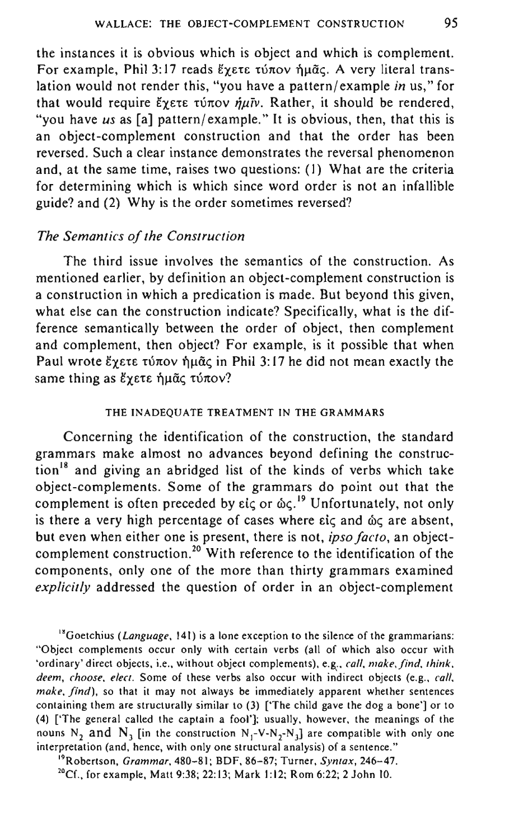the instances it is obvious which is object and which is complement. For example, Phil 3:17 reads Exete túnov nuão. A very literal translation would not render this, "you have a pattern/ example *in* us," for that would require  $\zeta_{\chi}$  ete túnov  $\eta \mu \bar{\nu}$ . Rather, it should be rendered, "you have *us* as [a] pattern/example." It is obvious, then, that this is an object-complement construction and that the order has been reversed. Such a clear instance demonstrates the reversal phenomenon and, at the same time, raises two questions: (1) What are the criteria for determining which is which since word order is not an infallible guide? and (2) Why is the order sometimes reversed?

## *The Semantics of the Construction*

The third issue involves the semantics of the construction. As mentioned earlier, by definition an object-complement construction is a construction in which a predication is made. But beyond this given, what else can the construction indicate? Specifically, what is the difference semantically between the order of object, then complement and complement, then object? For example, is it possible that when Paul wrote  $\zeta$   $\zeta$   $\zeta$   $\zeta$   $\zeta$   $\zeta$   $\zeta$   $\zeta$  in Phil 3: 17 he did not mean exactly the same thing as έγετε ήμας τύπον?

#### THE INADEQUATE TREATMENT IN THE GRAMMARS

Concerning the identification of the construction, the standard grammars make almost no advances beyond defining the construc- $\frac{18}{10}$  and giving an abridged list of the kinds of verbs which take object-complements. Some of the grammars do point out that the complement is often preceded by  $\epsilon i \zeta$  or  $\delta \zeta$ .<sup>19</sup> Unfortunately, not only is there a very high percentage of cases where  $e^{i\zeta}$  and  $\omega\zeta$  are absent, but even when either one is present, there is not, *ipso facto,* an objectcomplement construction.<sup>20</sup> With reference to the identification of the components, only one of the more than thirty grammars examined *explicitly* addressed the question of order in an object-complement

'"Goetchius *(Language.* 141) is a lone exception to the silence of the grammarians: "Object complements occur only with certain verbs (all of which also occur with 'ordinary' direct objects, i.e., without object complements), e.g., *call, make,find, think,*  deem, choose, elect. Some of these verbs also occur with indirect objects (e.g., *call*, *make, find),* so that it may not always be immediately apparent whether sentences containing them are structurally similar to (3) ['The child gave the dog a bone'] or to (4) ['The general called the captain a fool']; usually, however, the meanings of the nouns N<sub>2</sub> and N<sub>3</sub> [in the construction N<sub>1</sub>-V-N<sub>2</sub>-N<sub>3</sub>] are compatible with only one interpretation (and, hence, with only one structural analysis) of a sentence."

"Robertson, *Grammar,* 480-81; BDF, 86-87; Turner, *Syntax, 246-47.* 

<sup>20</sup>Cf., for example, Matt 9:38; 22:13; Mark 1:12; Rom 6:22; 2 John 10.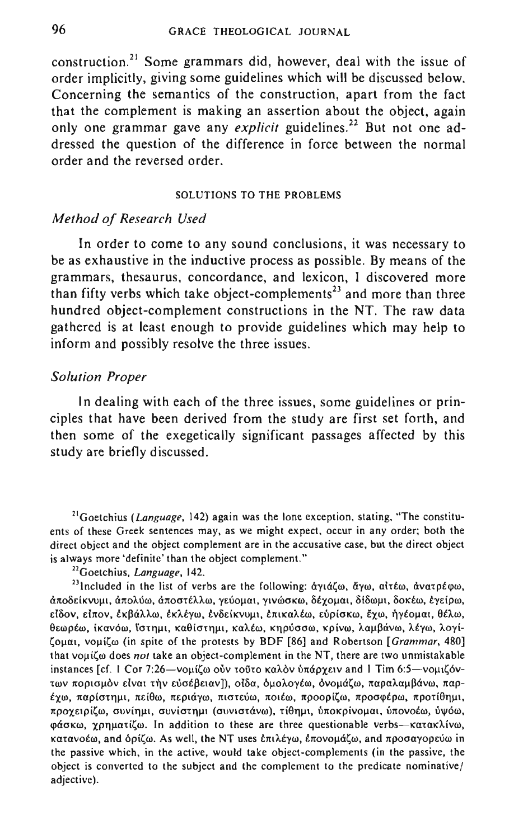construction. 21 Some grammars did, however, deal with the issue of order implicitly, giving some guidelines which will be discussed below. Concerning the semantics of the construction, apart from the fact that the complement is making an assertion about the object, again only one grammar gave any *explicit* guidelines.<sup>22</sup> But not one addressed the question of the difference in force between the normal order and the reversed order.

#### SOLUTIONS TO THE PROBLEMS

## *Method of Research Used*

In order to come to any sound conclusions, it was necessary to be as exhaustive in the inductive process as possible. By means of the grammars, thesaurus, concordance, and lexicon, I discovered more than fifty verbs which take object-complements<sup>23</sup> and more than three hundred object-complement constructions in the NT. The raw data gathered is at least enough to provide guidelines which may help to inform and possibly resolve the three issues.

#### *Solution Proper*

In dealing with each of the three issues, some guidelines or principles that have been derived from the study are first set forth, and then some of the exegetically significant passages affected by this study are briefly discussed.

**21Goetchius (Language, 142) again was the lone exception, stating, "The constituents of these Greek sentences may, as we might expect, occur in any order; both the direct object and the object complement are in the accusative case, but the direct object is always more 'definite' than the object complement."** 

**22Goetchius,** *Language, 142.* 

<sup>23</sup>lncluded in the list of verbs are the following: *άγιάζω, άγω, αιτέω, ανατρέφω,* **cUto15eiKVUj.l1, U1tOAUro, UTtOOtEAAOO, yEUOj.lat, Y1VOJaKffi, StxoJ.1at, 8{800l-n, 80):£00,** ~yEipro.  $\epsilon$ ίδον. είπον. έκβάλλω, έκλέγω, ένδείκνυμι, έπικαλέω, εύρίσκω, έγω, ήγέομαι, θέλω, **{h:ffiPEffi, tx:avQro,** ia'[l1~.ll, **Ka9icr'tTUU, KaAEw, Kll puaaw, Kpivw,** AaJ.l~aVW, **AEYW, Aoyi** ζομαι, νομίζω (in spite of the protests by BDF [86] and Robertson *[Grammar*, 480] **that VOllii;w does** *not* **take an object-complement in the NT, there are two unmistakable**  instances [cf. 1 Cor 7:26-νομίζω ούν τούτο καλόν ύπάρχειν and 1 Tim 6:5-νομιζόντων πορισμόν είναι τήν εύσέβειαν ]), οίδα, όμολογέω, όνομάζω, παραλαμβάνω, παρ-**£xoo, 1tapicrtllJ..U, 1td8ro. 1tEplal'ro, 1tlcrtEUro. 1tOlEro, 1tpoopii;w, 1tpomptpro, 1tPOti611111.**   $\pi$ ροχειρίζω, συνίημι, συνίστημι (συνιστάνω), τίθημι, ύποκρίνομαι, ύπονοέω, ύψόω, φάσκω, γρηματίζω. In addition to these are three questionable verbs-κατακλίνω, κατανοέω, and όρίζω. As well, the NT uses επιλέγω, επονομάζω, and προσαγορεύω in the passive which, in the active. would take object-complements (in the passive, the object is converted to the subject and the complement to the predicate nominative/ adjective).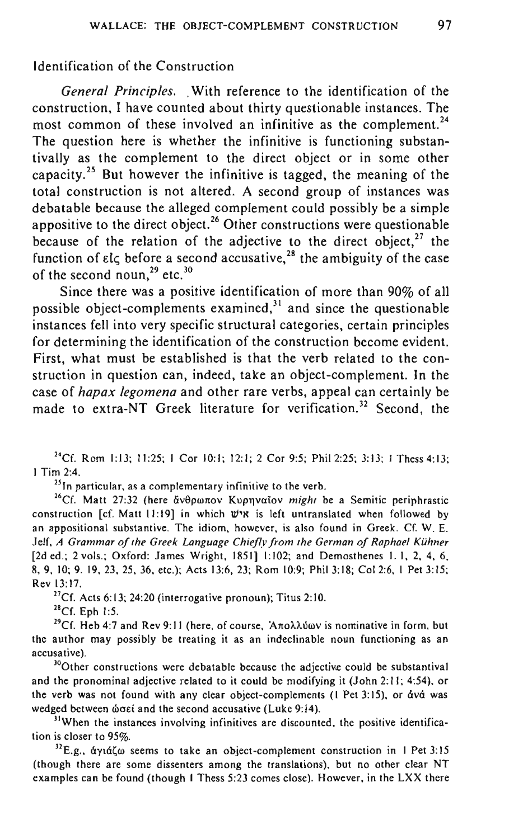## Identification of the Construction

*General Principles.* . With reference to the identification of the construction, I have counted about thirty questionable instances. The most common of these involved an infinitive as the complement.<sup>24</sup> The question here is whether the infinitive is functioning substantivally as the complement to the direct object or in some other capacity.25 But however the infinitive is tagged, the meaning of the total construction is not altered. A second group of instances was debatable because the alleged complement could possibly be a simple appositive to the direct object.<sup>26</sup> Other constructions were questionable because of the relation of the adjective to the direct object.<sup>27</sup> the function of  $\epsilon l \in \epsilon$  before a second accusative,<sup>28</sup> the ambiguity of the case of the second noun.<sup>29</sup> etc.<sup>30</sup>

Since there was a positive identification of more than 90% of all possible object-complements examined, $31$  and since the questionable instances fell into very specific structural categories, certain principles for determining the identification of the construction become evident. First, what must be established is that the verb related to the construction in question can, indeed, take an object-complement. In the case of *hapax legomena* and other rare verbs, appeal can certainly be made to extra-NT Greek literature for verification.<sup>32</sup> Second, the

<sup>24</sup>Cf. Rom 1:13:  $11:25$ : I Cor 10:1: 12:1: 2 Cor 9:5; Phil 2:25; 3:13; I Thess 4:13; I Tim 2:4.

**251n particular, as a complementary infinitive to the verb.** 

<sup>26</sup>Cf. Matt 27:32 (here ἄνθρωπον Κυρηναΐον *might* be a Semitic periphrastic construction [cf. Matt 11:19] in which W'N is left untranslated when followed by an appositional substantive. The idiom. however. is also found in Greek. Cf. W. E. Jetf. *A Grammar of the Greek Language Chiefly from the German of Raphael Kuhner*  [2d ed.; 2 vols.; Oxford: James Wright, 1851] 1:102; and Demosthenes 1, 1, 2, 4, 6, 8,9.10; 9.19.23.25.36. etc.); Acts 13:6. 23; Rom 10:9; PhiI3:18; Col 2:6, I Pet 3:15; Rev 13:17.

 $^{27}$ Cf. Acts 6:13; 24:20 (interrogative pronoun); Titus 2:10.

 $^{28}$ Cf. Eph 1:5.

 $^{29}$ Cf. Heb 4:7 and Rev 9:11 (here, of course, 'A $\pi$ o $\lambda\lambda$ Uwv is nominative in form, but **the author may possibly be treating it as an indeclinable noun functioning as an accusative).** 

<sup>30</sup>Other constructions were debatable because the adjective could be substantival and the pronominal adjective related to it could be modifying it (John 2: II; 4:54), or the verb was not found with any clear object-complements (I Pet 3:15), or dvd was wedged between **ώσεί and the second accusative (Luke 9:14)**.

<sup>31</sup>When the instances involving infinitives are discounted, the positive identifica**tion is closer to 95%.** 

<sup>32</sup>E.g.,  $\frac{dy_1d\zeta}{dx}$  seems to take an object-complement construction in 1 Pet 3:15 **(though there are some dissenters among the translations), but no other clear NT**  examples can be found (though I Thess 5:23 comes close). However, in the LXX there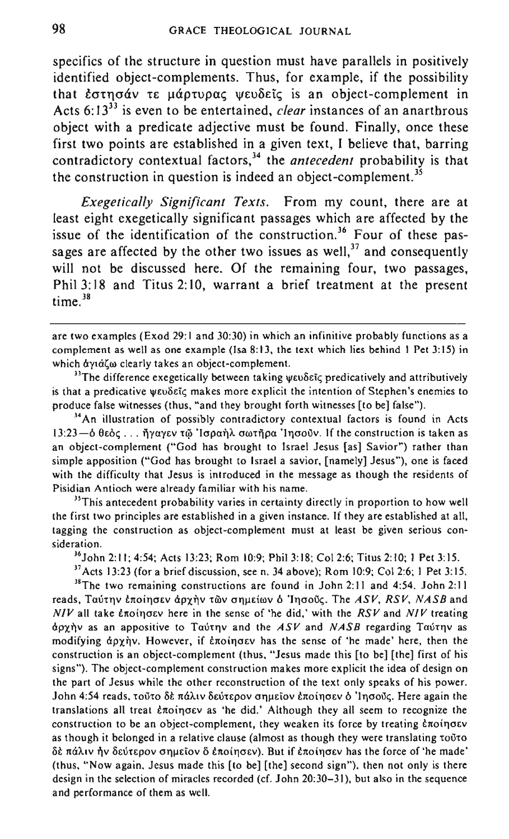specifics of the structure in question must have parallels in positively identified object-complements. Thus, for example, if the possibility that εστησάν τε μάρτυρας ψευδείς is an object-complement in Acts 6:13<sup>33</sup> is even to be entertained, *clear* instances of an anarthrous object with a predicate adjective must be found. Finally, once these first two points are established in a given text, I believe that, barring contradictory contextual factors,<sup>34</sup> the *antecedent* probability is that the construction in question is indeed an object-complement.<sup>35</sup>

*Exegetically Significant Texts.* From my count, there are at least eight exegetically significant passages which are affected by the issue of the identification of the construction.<sup>36</sup> Four of these passages are affected by the other two issues as well,<sup>37</sup> and consequently will not be discussed here. Of the remaining four, two passages, Phil 3: 18 and Titus 2: 10, warrant a brief treatment at the present time.<sup>38</sup>

are two examples (Exod 29: I and 30:30) in which an infinitive probably functions as a complement as well as one example (Isa 8:13, the text which lies behind I Pet 3:15) in which dyid(w clearly takes an object-complement.

<sup>33</sup>The difference exegetically between taking  $\psi$ I Do"ic predicatively and attributively is that a predicative ψευδεῖς makes more explicit the intention of Stephen's enemies to produce false witnesses (thus, "and they brought forth witnesses [to be] false").

**HAn illustration of possibly contradictory contextual factors** *is* **found in Acts 13:23-0 eEOC; ... TlYUYEV** 't(~ **'Jcrpui]t.. oonfjpa 'ITJ<JQuv. If the construction is taken as**  an object-complement ("God has brought to Israel Jesus [as] Savior") rather than simple apposition ("God has brought to Israel a savior, [namely] Jesus"), one is faced **with the difficulty that Jesus is introduced in the message as though the residents of Pisidian Antioch were already familiar with his name.** 

**3sThis antecedent probability varies in certainty directly in proportion to how well the first two principles are established in a given instance. If they are established at all, tagging the construction as object-complement must at least be given serious consideration.** 

J6 John 2: II; 4:54; Acts 13:23; Rom 10:9; Phil 3: 18; Col 2:6; Titus 2: 10; I Pet 3: 15.

 $37$  Acts 13:23 (for a brief discussion, see n. 34 above); Rom 10:9; Col 2:6; 1 Pet 3:15.

 $^{38}$ The two remaining constructions are found in John 2:11 and 4:54. John 2:11 reads, Ταύτην εποίησεν άρχην των σημείων **δ** 'Ιησούς. The ASV, RSV, NASB and *NIV* all take εποίησεν here in the sense of 'he did,' with the *RSV* and *NIV* treating apx1'Jv as an appositive to Taut"v and the *ASV* and *NASB* regarding Taut"v as modifying άρχὴν. However, if έποίησεν has the sense of 'he made' here, then the construction is an object-complement (thus, "Jesus made this [to be] [the] first of his signs"). The object-complement construction makes more explicit the idea of design on the part of Jesus while the other reconstruction of the text only speaks of his power. John 4:54 reads, τούτο δε πάλιν δεύτερον σημείον εποίησεν **δ**' Inσούς. Here again the translations all treat *εποίησεν* as 'he did.' Although they all seem to recognize the construction to be an object-complement, they weaken its force by treating *Enoingey* as though it belonged in a relative clause (almost as though they were translating  $\tau$ outo  $\delta \hat{\epsilon}$  πάλιν ήν δεύτερον σημείον δ έποιησεν). But if έποιησεν has the force of 'he made' (thus, "Now again, Jesus made this [to be] [the] second sign"), then not only is there design in the selection of miracles recorded (cf. John 20:30-31), but also in the sequence and performance of them as well.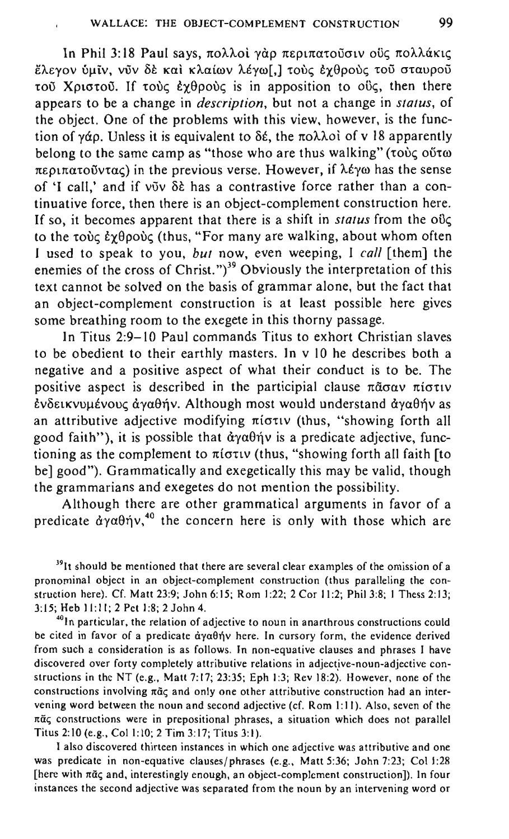In Phil 3:18 Paul says, πολλοί γάρ περιπατοῦσιν οΰς πολλάκις Eλεγον ύμιν, νυν δε και κλαίων λέγω[,] τους εγθρους του σταυρου τού Χριστού. If τους έχθρους is in apposition to ους, then there appears to be a change in *description,* but not a change in *status,* of the object. One of the problems with this view, however, is the function of *γάρ*. Unless it is equivalent to δέ, the πολλοί of v 18 apparently belong to the same camp as "those who are thus walking" ( $\tau$ ov $\zeta$  ovto  $\pi \epsilon$ ou $\pi \alpha \tau$ o v $\tau \alpha c$ ) in the previous verse. However, if  $\lambda \epsilon$  you has the sense of 'I call,' and if  $v\tilde{\sigma}v$   $\delta\tilde{\epsilon}$  has a contrastive force rather than a continuative force, then there is an object-complement construction here. If so, it becomes apparent that there is a shift in *status* from the  $\omega_c$ to the  $\tau$ où  $\epsilon$   $\gamma$ θρούς (thus, "For many are walking, about whom often I used to speak to you, *but* now, even weeping, I *call* [them] the enemies of the cross of Christ.")<sup>39</sup> Obviously the interpretation of this text cannot be solved on the basis of grammar alone, but the fact that an object-complement construction is at least possible here gives some breathing room to the exegete in this thorny passage.

In Titus 2:9-10 Paul commands Titus to exhort Christian slaves to be obedient to their earthly masters. In v 10 he describes both a negative and a positive aspect of what their conduct is to be. The positive aspect is described in the participial clause  $\pi\tilde{a}\sigma\alpha v$   $\pi i\sigma\tau\iota v$ EVOEtKVUIlEVOU~ ayu9ijv. Although most would understand *aya9ijv* as an attributive adjective modifying  $\pi$ iotiv (thus, "showing forth all good faith"), it is possible that *aya9ijv* is a predicate adjective, functioning as the complement to  $\pi$ iotiv (thus, "showing forth all faith [to be] good"). Grammatically and exegetically this may be valid, though the grammarians and exegetes do not mention the possibility.

Although there are other grammatical arguments in favor of a predicate  $\frac{\partial y}{\partial \theta}$  *a*<sup>40</sup> the concern here is only with those which are

 $39$ It should be mentioned that there are several clear examples of the omission of a pronominal object in an object-complement construction (thus paralleling the construction here). Cf. Matt 23:9; John 6:15; Rom 1:22; 2 Cor 11:2; Phil 3:8; I Thess 2:13; 3:15; Heb 11:11; 2 Pct 1:8; 2 John 4.

<sup>40</sup>In particular, the relation of adjective to noun in anarthrous constructions could be cited in favor of a predicate  $\dot{\alpha}$ y $\alpha$  $\theta$ n'v here. In cursory form, the evidence derived from such a consideration is as follows. In non-equative clauses and phrases I have discovered over forty completely attributive relations in adjective-noun-adjective constructions in the NT (e.g., Matt 7:17; 23:35; Eph 1:3; Rev 18:2). However, none of the constructions involving  $\pi\tilde{\alpha}\zeta$  and only one other attributive construction had an intervening word between the noun and second adjective (cf. Rom I:] I). Also, seven of the  $\pi\tilde{a}\zeta$  constructions were in prepositional phrases, a situation which does not parallel Titus 2: 10 (e.g., Col I: 10; 2 Tim 3: 17; Titus 3: I).

I also discovered thirteen instances in which one adjective was attributive and one was predicate in non-equative clauses/phrases (e.g., Matt 5:36; John 7:23; Col 1:28 [here with  $\pi\tilde{\alpha}$  and, interestingly enough, an object-complement construction]). In four instances the second adjective was separated from the noun by an intervening word or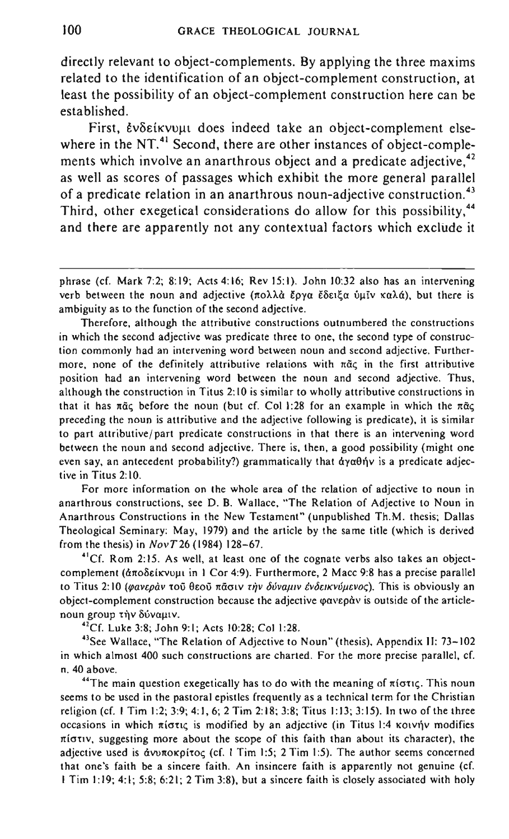directly relevant to object-complements. By applying the three maxims related to the identification of an object-complement construction, at least the possibility of an object-complement construction here can be established.

First, Evδείκνυμι does indeed take an object-complement elsewhere in the NT.<sup>41</sup> Second, there are other instances of object-complements which involve an anarthrous object and a predicate adjective,  $42$ as well as scores of passages which exhibit the more general parallel of a predicate relation in an anarthrous noun-adjective construction.<sup>43</sup> Third, other exegetical considerations do allow for this possibility,<sup>44</sup> and there are apparently not any contextual factors which exclude it

**Therefore. although the attributive constructions outnumbered the constructions in which the second adjective was predicate three to one, the second type of construction commonly had an intervening word between noun and second adjective. Further**more, none of the definitely attributive relations with  $\pi$ <sup>o</sup> acc in the first attributive **position had an intervening word between the noun and second adjective. Thus, although the construction in Titus 2: to is similar to wholly attributive constructions in**  that it has  $\pi\tilde{\alpha}\zeta$  before the noun (but cf. Col 1:28 for an example in which the  $\pi\tilde{\alpha}\zeta$ **preceding the noun is attributive and the adjective following is predicate), it is similar to part attributive / part predicate constructions in that there is an intervening word**  between the noun and second adjective. There is, then, a good possibility (might one even say, an antecedent probability?) grammatically that  $\alpha y \alpha \theta \dot{\eta} y$  is a predicate adjective in Titus 2: 10.

**For more information on the whole area of the relation of adjective to noun in**  anarthrous constructions. see D. B. Wallace. "The Relation of Adjective to Noun in Anarthrous Constructions in the New Testament" (unpublished Th.M. thesis; Dallas Theological Seminary: May. 1979) and the article by the same title (which is derived from the thesis) in *NovT26* (1984) 128-67.

**'''Cf. Rom 2: 15. As well, at least one of the cognate verbs also takes an object**complement (άποδείκνυμι in 1 Cor 4:9). Furthermore, 2 Macc 9:8 has a precise parallel to Titus 2:10 (φανεράν τοῦ θεοῦ πᾶσιν τὴν δύναμιν ἐνδεικνύμενος). This is obviously an object-complement construction because the adjective *φανερ*άν is outside of the articlenoun group την δύναμιν.

"Cf. Luke 3:8; John 9:1; Acts 10:28; Col 1:28.

<sup>43</sup>See Wallace, "The Relation of Adjective to Noun" (thesis). Appendix II: 73-102 **in which almost 400 such constructions are charted. For the more precise parallel, d.**  n. 40 above.

<sup>44</sup>The main question exegetically has to do with the meaning of  $\pi$ iotic. This noun seems to be used in the pastoral epistles frequently as a technical term for the Christian religion (cf. I Tim 1:2; 3:9; 4:1. 6; 2 Tim 2:18; 3:8; Titus 1:13; 3:15). In two of the three **occasions in which πίστις is modified by an adjective (in Titus 1:4 κοινήν modifies**  $n$  *n* is the suggesting more about the scope of this faith than about its character), the adjective used is  $\frac{d}{dx}$  averaging (cf. 1 Tim 1:5; 2 Tim 1:5). The author seems concerned **that one's faith be a sincere faith. An insincere faith is apparently not genuine (cf.**  I Tim 1:19; 4:1; 5:8; 6:21; 2 Tim 3:8), but a sincere faith is closely associated with holy

phrase (cf. Mark 7:2; 8:19; Acts 4:16; Rev 15:1). John 10:32 also has an intervening **verb between the noun and adjective (πολλά ἔονα ἔδειἕα ὑμῖν καλά), but there is ambiguity as to the function of the second adjective.**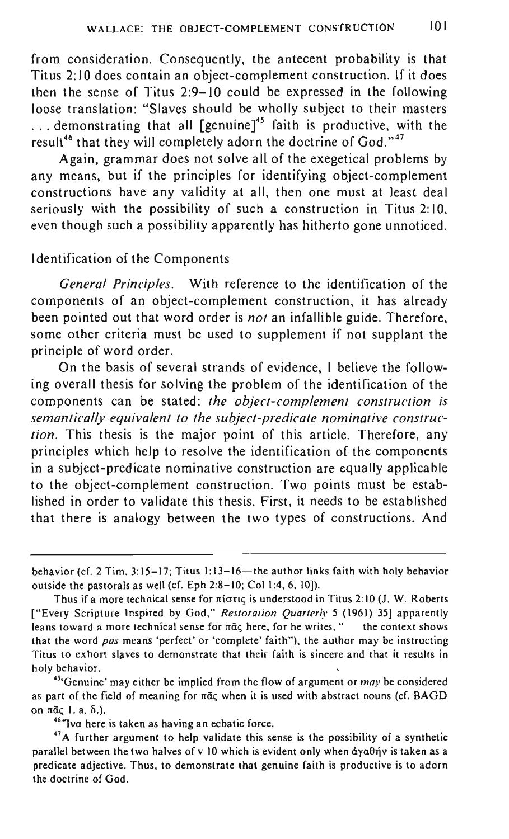from consideration. Consequently, the antecent probability is that Titus 2: 10 does contain an object-complement construction. If it does then the sense of Titus 2:9-10 could be expressed in the following loose translation: "Slaves should be wholly subject to their masters  $\ldots$  demonstrating that all  $\lceil \text{genuine} \rceil^{45}$  faith is productive, with the result<sup>46</sup> that they will completely adorn the doctrine of God."<sup>47</sup>

Again, grammar does not solve all of the exegetical problems by any means, but if the principles for identifying object-complement constructions have any validity at all, then one must at least deal seriously with the possibility of such a construction in Titus 2:10. even though such a possibility apparently has hitherto gone unnoticed.

## Identification of the Components

*General Principles.* With reference to the identification of the components of an object-complement construction, it has already been pointed out that word order is *not* an infallible guide. Therefore, some other criteria must be used to supplement if not supplant the principle of word order.

On the basis of several strands of evidence, I believe the following overall thesis for solving the problem of the identification of the components can be stated: *the object-complement construction is semantically equivalent to the subject-predicate nominative construction.* This thesis is the major point of this article. Therefore, any principles which help to resolve the identification of the components in a subject-predicate nominative construction are equally applicable to the object-complement construction. Two points must be established in order to validate this thesis. First, it needs to be established that there is analogy between the two types of constructions. And

**<sup>4</sup> 5"Genuine' may either be implied from the flow of argument or may be considered**  as part of the field of meaning for  $\pi\tilde{\alpha}\zeta$  when it is used with abstract nouns (cf. BAGD on  $\bar{n}$  $\bar{\alpha}$ c $\pm$ , a.  $\delta$ .).

**46"'Iva here is taken as having an ecbatic force.** 

behavior (cf. 2 Tim. 3:15-17; Titus 1:13-16-the author links faith with holy behavior outside the pastorals as well (cf. Eph 2:8-10; Col 1:4, 6.10]).

Thus if a more technical sense for  $\pi$ iotic is understood in Titus 2:10 **(J. W. Roberts** ["Every Scripture Inspired by God," *Restoration Quarterly 5* (1961) 35] apparently leans toward a more technical sense for  $\pi$ *ac* here, for he writes. " the context shows that the word pas means 'perfect' or 'complete' faith"), the author may be instructing **Titus to exhort slaves to demonstrate that their faith is sincere and that it results in**  holy behavior.

**<sup>47</sup> A further argument to help validate this sense is the possibility of a synthetic parallel between the two halves of v 10 which is evident only when dya9riv is taken as a predicate adjective. Thus. to demonstrate that genuine faith is productive is to adorn the doctrine of God.**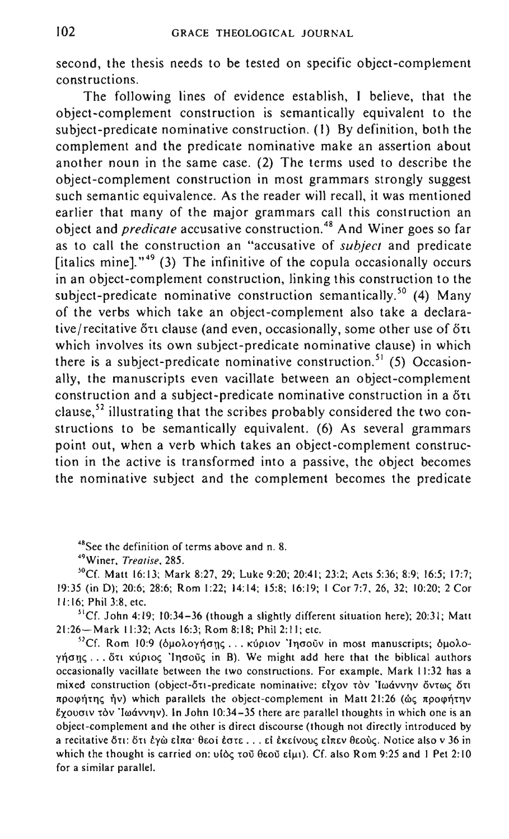second, the thesis needs to be tested on specific object-complement constructions.

The following lines of evidence establish, I believe, that the object-complement construction is semantically equivalent to the subject-predicate nominative construction. (I) By definition, both the complement and the predicate nominative make an assertion about another noun in the same case. (2) The terms used to describe the object-complement construction in most grammars strongly suggest such semantic equivalence. As the reader will recall, it was mentioned earlier that many of the major grammars call this construction an object and *predicate* accusative construction.<sup>48</sup> And Winer goes so far as to call the construction an "accusative of *subject* and predicate [italics mine].<sup> $49$ </sup> (3) The infinitive of the copula occasionally occurs in an object-complement construction, linking this construction to the subject-predicate nominative construction semantically.<sup>50</sup> (4) Many of the verbs which take an object-complement also take a declarative/recitative on clause (and even, occasionally, some other use of one which involves its own subject-predicate nominative clause) in which there is a subject-predicate nominative construction.<sup>51</sup> (5) Occasionally, the manuscripts even vacillate between an object-complement construction and a subject-predicate nominative construction in a  $\delta \tau \iota$ clause,<sup>52</sup> illustrating that the scribes probably considered the two constructions to be semantically equivalent. (6) As several grammars point out, when a verb which takes an object-complement construction in the active is transformed into a passive, the object becomes the nominative subject and the complement becomes the predicate

**4BSee the definition of terms above and n. 8.** 

**4'JWiner,** *Treatise. 285.* 

>OCf. Matt 16:13; Mark 8:27. 29; Luke 9:20; 20:41; 23:2; Acts 5:36; 8:9; 16:5; 17:7; 19:35 (in D); 20:6; 28:6; Rom 1:22; 14: 14; 15:8; 16: 19; I Cor 7:7. 26. 32; 10:20; 2 Cor II: 16; Phil 3:8. etc.

 ${}^{51}$ Cf. John 4:19; 10:34-36 (though a slightly different situation here); 20:31; Matt 21:26- Mark 11:32; Acts 16:3; Rom 8:18; PhiI2:11; etc.

<sup>52</sup>Cf. Rom 10:9 (όμολογήσης ... κύριον 'Iησοῦν in most manuscripts; όμολο- $\gamma$ ήσης... ότι κύριος 'Inσούς in B). We might add here that the biblical authors **occasionally vacillate between the two constructions. For example, Mark 11:32 has a**  mixed construction (object-δτι-predicate nominative: είχον τὸν 'Ιωάννην ὄντως ὅτι προφήτης ήν) which parallels the object-complement in Matt 21:26 (ως προφήτην **exouolv tOY 'Iroavvl1v). In John 10:34-35 there are parallel thoughts in which one is an object-complement and the other is direct discourse (though not directly introduced by a recitative o'n: on Eyw dna' 9EOi Eon, , . Ei EKElvou<; dnEv 8EOU<;. Notice also v 36 in**  which the thought is carried on:  $u\delta\zeta$  του θεού είμι). Cf. also Rom 9:25 and 1 Pet 2:10 **for a similar parallel.**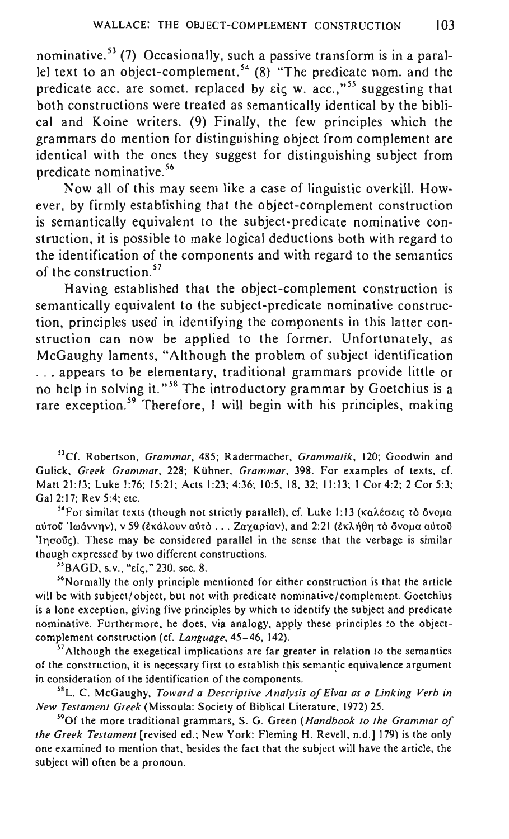nominative.<sup>53</sup> (7) Occasionally, such a passive transform is in a parallel text to an object-complement.<sup>54</sup> (8) "The predicate nom. and the predicate acc. are somet. replaced by  $\epsilon i \epsilon$  w. acc.,"<sup>55</sup> suggesting that both constructions were treated as semantically identical by the biblical and Koine writers. (9) Finally, the few principles which the grammars do mention for distinguishing object from complement are identical with the ones they suggest for distinguishing subject from predicate nominative. 56

Now all of this may seem like a case of linguistic overkill. However, by firmly establishing that the object-complement construction is semantically equivalent to the subject-predicate nominative construction, it is possible to make logical deductions both with regard to the identification of the components and with regard to the semantics of the construction.<sup>57</sup>

Having established that the object-complement construction is semantically equivalent to the subject-predicate nominative construction, principles used in identifying the components in this latter construction can now be applied to the former. Unfortunately, as McGaughy laments, "Although the problem of subject identification . .. appears to be elementary, traditional grammars provide little or no help in solving it."<sup>58</sup> The introductory grammar by Goetchius is a rare exception.<sup>59</sup> Therefore, I will begin with his principles, making

**Def. Robertson,** *Grammar,* **485; Radermacher,** *Grammatik ,* **120; Goodwin and**  Gulick, *Greek Grammar,* 228; Kiihner, *Grammar,* 398. For examples of texts, cf. Matt 21:13; Luke 1:76; 15:21; Acts 1:23; 4:36; 10:5, 18, 32; 11:13; 1 Cor 4:2; 2 Cor 5:3; Gal 2:17; Rev 5:4; etc.

 $^{54}$  For similar texts (though not strictly parallel), cf. Luke 1:13 (καλέσεις τὸ ὄνομα aύτου 'lωάννην), v 59 (εκάλουν αύτο ... Ζαχαρίαν), and 2:21 (εκλήθη το δνομα αύτου 'Iησούς). These may be considered parallel in the sense that the verbage is similar though expressed by two different constructions.

<sup>53</sup>BAGD, s.v., "*elc,*" 230. sec. 8.

**56Normally the only principle mentioned for either construction is that the article**  will be with subject/object, but not with predicate nominative/complement. Goetchius **is a lone exception, giving five principles by which to identify the subject and predicate nominative. Furthermore, he does, via analogy, apply these principles to the object**complement construction (cf. *Language,* 45-46, 142).

<sup>57</sup> Although the exegetical implications are far greater in relation to the semantics of the construction, it is necessary first to establish this semantic equivalence argument **in consideration of the identification of the components.** 

<sup>58</sup> L **C. McGaughy,** *Toward a Descriptive Analysis of* **E1Val** *as a Linking Verb in New Testament Greek* (Missoula: Society of Biblical Literature, 1972) 25.

**590f the more traditional grammars, S. G. Green** *(Handbook to the Grammar of the Greek Testament* [revised ed.; New York: Fleming H. Revell, n.d.] 179) is the only one examined to mention that, besides the fact that the subject will have the article, the subject will often be a pronoun.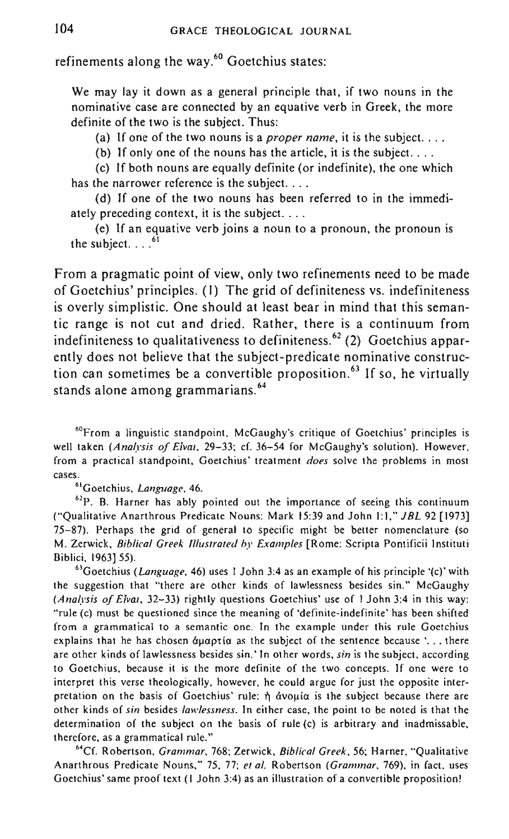## refinements along the way.<sup>60</sup> Goetchius states:

We may lay it down as a general principle that, if two nouns in the nominative case are connected by an equative verb in Greek, the more definite of the two is the subject. Thus:

(a) If one of the two nouns is a *proper name,* it is the subject. .. .

(b) If only one of the nouns has the article, it is the subject. .. .

(c) If both nouns are equally definite (or indefinite), the one which has the narrower reference is the subject. . . .

(d) If one of the two nouns has been referred to in the immediately preceding context, it is the subject. ...

 $(e)$  If an equative verb joins a noun to a pronoun, the pronoun is the subject.  $\ldots$ .<sup>61</sup>

From a pragmatic point of view, only two refinements need to be made of Goetchius' principles. (I) The grid of definiteness vs. indefiniteness is overly simplistic. One should at least bear in mind that this semantic range is not cut and dried. Rather, there is a continuum from indefiniteness to qualitativeness to definiteness.<sup>62</sup> (2) Goetchius apparently does not believe that the subject-predicate nominative construction can sometimes be a convertible proposition.<sup>63</sup> If so, he virtually stands alone among grammarians. <sup>64</sup>

~OFrom a linguistic standpoint, McGaughy's critique of Goetchius' principles is well taken *(Analysis of Elvai*, 29-33; cf. 36-54 for McGaughy's solution). However, from a practical standpoint, Goetchius' treatment *does* solve the problems in most cases.

610oetchius, *Language,* 46.

 $62P$ . B. Harner has ably pointed out the importance of seeing this continuum ("Qualitative Anarthrous Predicate Nouns: Mark 15:39 and John 1:1." *JBL* 92 [1973] 75-87). Perhaps the grid of general to specific might be better nomenclature (so M. Zerwick, *Biblical Greek Illustrated* by *Examples* [Rome: Scripta Pontificii Instituti Biblici, 1963]55).

<sup>63</sup>Goetchius *(Language,* 46) uses 1 John 3:4 as an example of his principle '(c)' with the suggestion that "there are other kinds of lawlessness besides sin." McGaughy *(Analysis of ElVaI,* 32-33) rightly questions Goetchius' use of I John 3:4 in this way: "rule (c) must be questioned since the meaning of 'definite-indefinite' has been shifted from a grammatical to a semantic one. In the example under this rule Goetchius explains that he has chosen  $\alpha$ uaptia as the subject of the sentence because '... there are other kinds of lawlessness besides sin.' In other words. sin is the subject, according to Goetchius, because it is the more definite of the two concepts. If one were to interpret this verse theologically, however. he could argue for just the opposite interpretation on the basis of Goetchius' rule: ή άνομία is the subject because there are other kinds of *sin* besides *lawlessness.* In either case, the point to be noted is that the determination of the subject on the basis of rule (c) is arbitrary and inadmissable. therefore, as a grammatical rule."

<sup>64</sup>Cf. Robertson, *Grammar*, 768; Zerwick, *Biblical Greek,* 56; Harner, "Qualitative Anarthrous Predicate Nouns," 75, 77; el *al.* Robertson *(Grammar,* 769), in fact, uses Goetchius' same proof text (I John 3:4) as an illustration of a convertible proposition!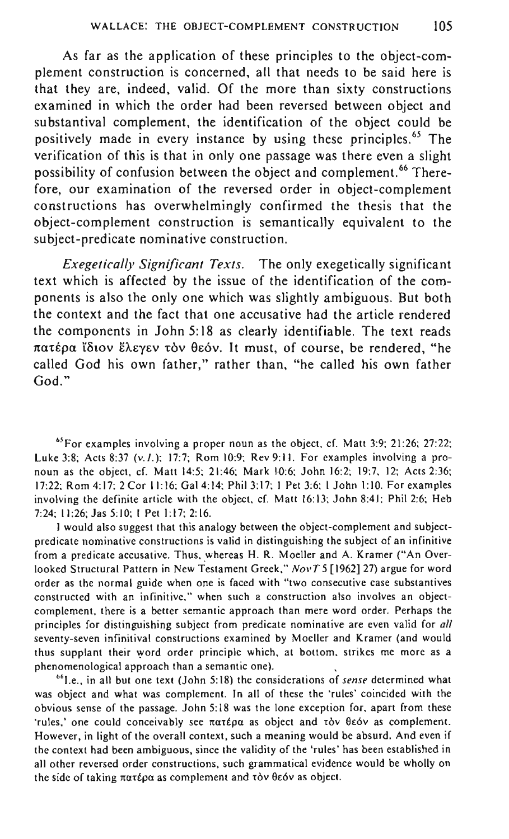As far as the application of these principles to the object-complement construction is concerned, all that needs to be said here is that they are, indeed, valid. Of the more than sixty constructions examined in which the order had been reversed between object and substantival complement, the identification of the object could be positively made in every instance by using these principles.<sup>65</sup> The verification of this is that in only one passage was there even a slight possibility of confusion between the object and complement.<sup>66</sup> Therefore, our examination of the reversed order in object-complement constructions has overwhelmingly confirmed the thesis that the object-complement construction is semantically equivalent to the subject-predicate nominative construction.

*Exegetically Significant Texts.* The only exegetically significant text which is affected by the issue of the identification of the components is also the only one which was slightly ambiguous. But both the context and the fact that one accusative had the article rendered the components in John 5: 18 as clearly identifiable. The text reads πατέρα ΐδιον έλεγεν τον θεόν. It must, of course, be rendered, "he called God his own father," rather than, "he called his own father God."

**65For examples involving a proper noun as the object, cf. Matt 3:9; 21:26; 27:22;**  Luke 3:8; Acts 8:37 (v.I.); 17:7; Rom 10:9; Rev 9:11. For examples involving a pronoun as the object, cf. Matt 14:5; 21:46; Mark 10:6; John 16:2; 19:7, 12; Acts 2:36; 17:22; Rom 4: 17; 2 Cor II: 16; Gal 4: 14; Phil 3: 17; I Pet 3:6; I John I: 10. For examples involving the definite article with the object, cf. Matt 16:13; John 8:41; Phil 2:6; Heb 7:24; 11:26; Jas 5:10; I Pet 1:17; 2:16.

**I would also suggest that this analogy between the object-complement and subject**predicate nominative constructions is valid in distinguishing the subject of an infinitive from a predicate accusative. Thus, whereas H. R. Moeller and A. Kramer ("An Overlooked Structural Pattern in New Testament Greek," *NovT* 5 [1962] 27) argue for word **order as the normal guide when one is faced with "two consecutive case substantives constructed with an infinitive," when such a construction also involves an objectcomplement, there is a better semantic approach than mere word order. Perhaps the principles for distinguishing subject from predicate nominative are even valid for** *all*  **seventy-seven infinitival constructions examined by Moeller and Kramer (and would**  thus supplant their word order principle which, at bottom, strikes me more as a **phenomenological approach than a semantic one).** \

<sup>66</sup> I.e., in all but one text (John 5:18) the considerations of *sense* determined what **was object and what was complement. In all of these the 'rules' coincided with the obvious sense of the passage. John 5: 18 was the lone exception for, apart from these**  'rules,' one could conceivably see *natépa* as object and tov θεόν as complement. **However, in light of the overall context, such a meaning would be absurd. And even if the context had been ambiguous. since the validity of the 'rules' has been established in all other reversed order constructions, such grammatical evidence would be wholly on**  the side of taking πατέρα as complement and τὸν θεόν as object.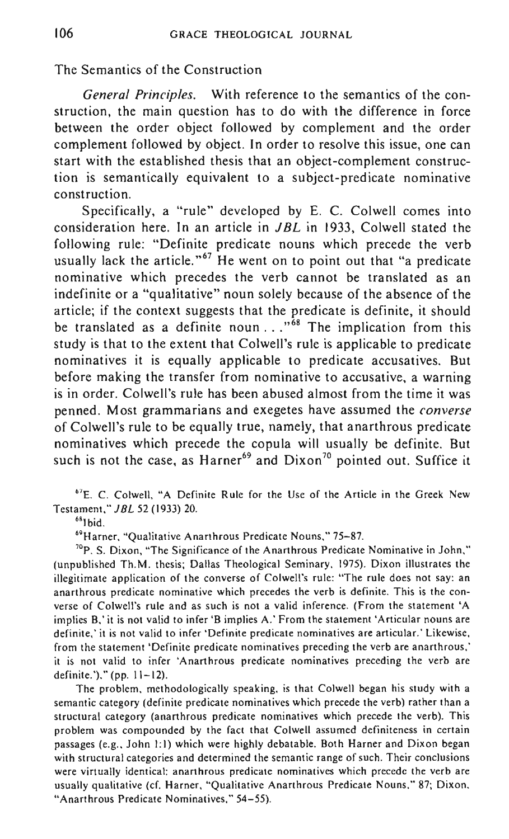## The Semantics of the Construction

*General Principles.* With reference to the semantics of the construction, the main question has to do with the difference in force between the order object followed by complement and the order complement followed by object. In order to resolve this issue, one can start with the established thesis that an object-complement construction is semantically equivalent to a subject-predicate nominative construction.

Specifically, a "rule" developed by E. C. Colwell comes into consideration here. In an article in *JBL* in 1933, Colwell stated the following rule: "Definite predicate nouns which precede the verb usually lack the article."<sup>67</sup> He went on to point out that "a predicate nominative which precedes the verb cannot be translated as an indefinite or a "qualitative" noun solely because of the absence of the article; if the context suggests that the predicate is definite, it should be translated as a definite noun ... "<sup>68</sup> The implication from this study is that to the extent that Colwell's rule is applicable to predicate nominatives it is equally applicable to predicate accusatives. But before making the transfer from nominative to accusative, a warning is in order. Colwell's rule has been abused almost from the time it was penned. Most grammarians and exegetes have assumed the *converse*  of Colwell's rule to be equally true, namely, that anarthrous predicate nominatives which precede the copula will usually be definite. But such is not the case, as Harner<sup>69</sup> and Dixon<sup>70</sup> pointed out. Suffice it

<sup>67</sup>E. C. Colwell, "A Definite Rule for the Use of the Article in the Greek New Testament," J *BL* 52 (1933) 20.

 $^6$ <sup>8</sup><sup>8</sup>

<sup>69</sup> Harner, "Qualitative Anarthrous Predicate Nouns," 75-87.

 $70$  p. S. Dixon, "The Significance of the Anarthrous Predicate Nominative in John," (unpublished Th.M. thesis; Dallas Theological Seminary, 1975). Dixon illustrates the illegitimate application of the converse of Colwell's rule: "The rule does not say: an anarthrous predicate nominative which precedes the verb is definite. This is the converse of Colwell's rule and as such is not a va1id inference. (From the statement 'A implies B.' it is not valid to infer'S implies A.' From the statement 'Articular nouns are definite,' it is not valid to infer 'Oefinite predicate nominatives are articular.' Likewise, from the statement ·Definite predicate nominatives preceding the verb are anarthrous,' it is not valid to infer 'Anarthrous predicate nominatives preceding the verb are definite.')," (pp. 11-12).

The problem, methodologically speaking, is that Colwell began his study with a semantic category (definite predicate nominatives which precede the verb) rather than a structural category (anarthrous predicate nominatives which precede the verb). This problem was compounded by the fact that Colwell assumed definiteness in certain passages (e.g., John 1:1) which were highly debatable. Both Harner and Dixon began with structural categories and determined the semantic range of such. Their conclusions were virtually identical: anarthrous predicate nominatives which precede the verb are usually qualitative (cf. Harner, "Qualitative Anarthrous Predicate Nouns," 87; Dixon, "Anarthrous Predicate Nominatives," 54-55).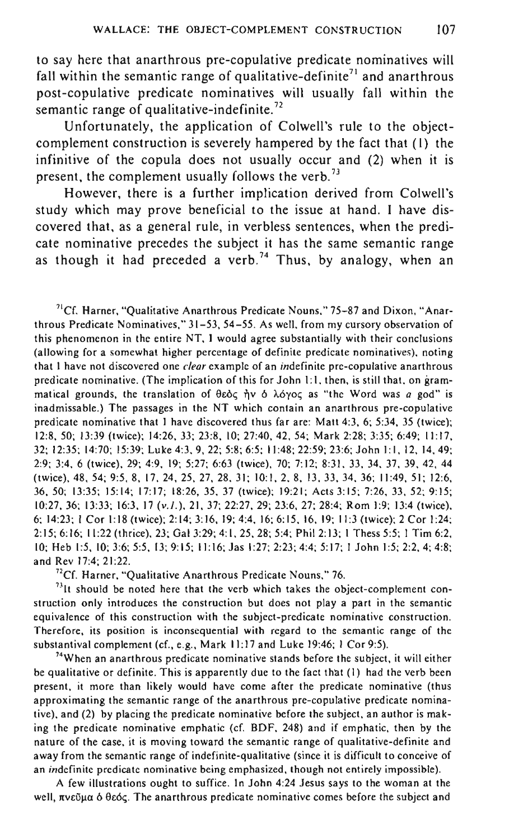to say here that anarthrous pre-copulative predicate nominatives will fall within the semantic range of qualitative-definite<sup> $71$ </sup> and anarthrous post-copulative predicate nominatives will usually fall within the semantic range of qualitative-indefinite.<sup>72</sup>

Unfortunately, the application of Colwell's rule to the objectcomplement construction is severely hampered by the fact that (I) the infinitive of the copula does not usually occur and (2) when it is present, the complement usually follows the verb.<sup>73</sup>

However, there is a further implication derived from Colwell's study which may prove beneficial to the issue at hand. I have discovered that, as a general rule, in verbless sentences, when the predicate nominative precedes the subject it has the same semantic range as though it had preceded a verb.<sup>74</sup> Thus, by analogy, when an

<sup>71</sup>Cf. Harner, "Qualitative Anarthrous Predicate Nouns," 75-87 and Dixon, "Anar**thraus Predicate Nominatives," 31-53, 54-55. As well, from my cursory observation of**  this phenomenon in the entire NT, 1 would agree substantially with their conclusions **(allowing for a somewhat higher percentage of definite predicate nominatives), noting that 1 have not discovered one** *clear* **example of an indefinite pre-copulative anarthrous predicate nominative. (The implication** of this **for John 1:1, then, is still that, on gram**matical grounds, the translation of θεός ήν ό λόγος as "the Word was *a* god" is **inadmissable.) The passages in the NT which contain an anarthrous pre-copulative**  predicate nominative that 1 have discovered thus far are: Matt 4:3. 6; 5:34, 35 (twice); 12:8, 50; 13:39 (twice); 14:26, 33; 23:8, 10; 27:40, 42, 54; Mark 2:28; 3:35; 6:49; II: 17. 32; 12:35; 14:70; 15:39; Luke 4:3, 9, 22; 5:8; 6:5; 11:48; 22:59; 23:6; John 1:1,12,14,49; 2:9; 3:4, 6 (twice), 29; 4:9, 19; 5:27; 6:63 (twice), 70; 7:12; 8:31. 33, 34, 37, 39, 42, 44 (twice), 48, 54; 9:5, 8,17,24,25,27,28,31; 10:1,2.8.13,33.34,36; 11:49,51; 12:6. 36,50; 13:35; 15:14; 17:17; 18:26,35,37 (twice); 19:21; Acts 3:15; 7:26, 33, 52; 9:15; 10:27,36; 13:33; 16:3, 17 (v.I.). 21, 37; 22:27, 29; 23:6, 27; 28:4; Rom 1:9; 13:4 (twice), 6; 14:23; I Cor 1:18 (twice); 2:14; 3:16, 19; 4:4,16; 6:15,16,19; 11:3 (twice); 2 Cor 1:24; 2:15; 6:16; 11:22 (thrice), 23; Gal 3:29; 4:1, 25. 28; 5:4; Phil 2:13; I Thess 5:5; I Tim 6:2, 10; Heb 1:5,10; 3:6; 5:5,13; 9:15; 11:16; Jas 1:27; 2:23; 4:4; 5:17; 1 John 1:5; 2:2, 4; 4:8; and Rev 17:4; 21:22.

**72Cf. Harner, "Qualitative Anarthrous Predicate Nouns," 76.** 

<sup>23</sup>It should be noted here that the verb which takes the object-complement con**struction only introduces the construction but does not playa part in the semantic equivalence of this construction with the subject-predicate nominative construction. Therefore, its position is inconsequential with regard to the semantic range of the**  substantival complement (ef., e.g., Mark 11:17 and Luke 19:46; 1 Cor 9:5).

**74When an anarthrous predicate nominative stands before the subject, it will either**  be qualitative or definite. This is apparently due to the fact that (I) had the verb been **present, it more than likely would have come after the predicate nominative (thus approximating the semantic range of the anarthrous pre-copulative predicate nominative), and (2) by placing the predicate nominative before the subject, an author is mak**ing the predicate nominative emphatic (cf. BDF, 248) and if emphatic, then by the **nature of the case, it is moving toward the semantic range of qualitative-definite and away from the semantic range of indefinite-qualitative (since it is difficult to conceive of an indefinite predicate nominative being emphasized, though not entirely impossible).** 

**A few illustrations ought to suffice. In John 4:24 Jesus says to the woman at the**  well, πνεῦμα ὁ θεός. The anarthrous predicate nominative comes before the subject and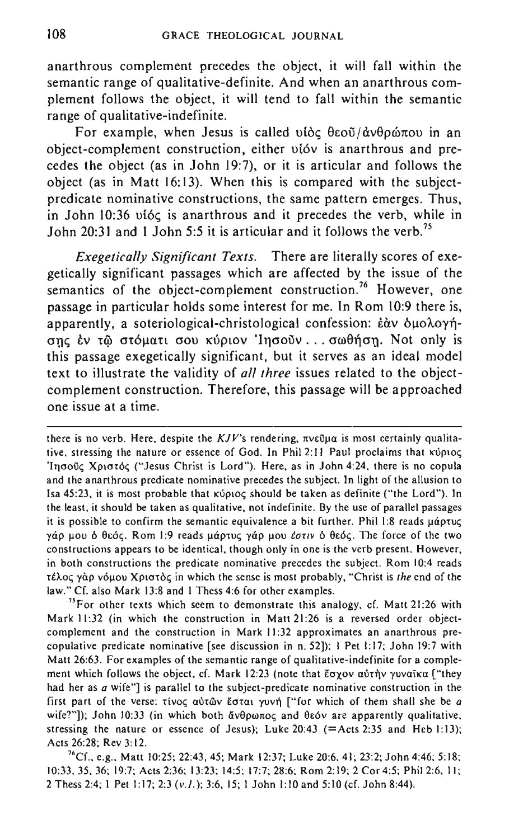anarthrous complement precedes the object, it will fall within the semantic range of qualitative-definite. And when an anarthrous complement follows the object, it will tend to fall within the semantic range of qualitative-indefinite.

For example, when Jesus is called  $\theta$   $\delta$   $\epsilon$   $\theta$   $\epsilon$   $\delta$  $\theta$  $\theta$  $\alpha$  $\delta$  $\alpha$   $\beta$   $\alpha$   $\beta$   $\alpha$   $\beta$   $\alpha$   $\beta$   $\alpha$   $\beta$   $\alpha$   $\beta$   $\alpha$   $\beta$   $\alpha$   $\beta$   $\alpha$   $\beta$   $\alpha$   $\beta$   $\alpha$   $\beta$   $\alpha$   $\beta$   $\alpha$   $\beta$   $\alpha$   $\beta$   $\$ object-complement construction, either ui6v is anarthrous and precedes the object (as in John 19:7), or it is articular and follows the object (as in Matt 16:13). When this is compared with the subjectpredicate nominative constructions, the same pattern emerges. Thus, in John 10:36 vióc is anarthrous and it precedes the verb, while in John 20:31 and 1 John 5:5 it is articular and it follows the verb.<sup>75</sup>

*Exegetically Significant Texts.* There are literally scores of exegetically significant passages which are affected by the issue of the semantics of the object-complement construction.<sup>76</sup> However, one passage in particular holds some interest for me. In Rom 10:9 there is, apparently, a soteriological-christological confession: εάν δυολογήσης έν τω στόματι σου κύριον 'Inσούν... σωθήση. Not only is this passage exegetically significant, but it serves as an ideal model text to illustrate the validity of *all three* issues related to the objectcomplement construction. Therefore, this passage will be approached one issue at a time.

there is no verb. Here, despite the *KJV*'s rendering, πνεῦμα is most certainly qualita**tive, stressing the nature or essence of God. In Phil 2:11 Paul proclaims that κύριος** 'Iησούς Χριστός ("Jesus Christ is Lord"). Here, as in John 4:24, there is no copula **and the anarthrous predicate nominative precedes the subject. In light of the allusion to**  Isa 45:23, it is most probable that  $x \circ \rho \circ \sigma$  should be taken as definite ("the Lord"). In **the least. it should be taken as qualitative, not indefinite. By the use of parallel passages**  it is possible to confirm the semantic equivalence a bit further. Phil 1:8 reads  $\mu\acute{\alpha}$ ptu $\zeta$ γάρ μου δ θεός. Rom 1:9 reads μάρτυς γάρ μου έστιν δ θεός. The force of the two **constructions appears to be identical, though only in one is the verb present. However. in both constructions the predicate nominative precedes the subject. Rom 10:4 reads**  τέλος γάρ νόμου Χριστός in which the sense is most probably, "Christ is *the* end of the law." Cf. also Mark 13:8 and I Thess 4:6 for other examples.

**'J3For other texts which seem to demonstrate this analogy, cf. Matt 21:26 with**  Mark 11:32 (in which the construction in Matt 21:26 is a reversed order objectcomplement and the construction in Mark 11:32 approximates an anarthrous precopulative predicate nominative [see discussion in n. 52]); I Pet 1:17; John 19:7 with **Matt 26:63. For examples of the semantic range of qualitative-indefinite for a comple**ment which follows the object, cf. Mark 12:23 (note that  $\bar{\epsilon}$ oyov αύτήν γυναϊκα ["they **had her as** *a* **wife"] is parallel to the subject-predicate nominative construction in the first part of the verse: tivoc; autrov EO-tat YUV'll ["for which of them shall she be** *a*  wife?"]); John 10:33 (in which both  $\delta v \theta \rho \omega \pi o \varsigma$  and  $\theta \epsilon \delta v$  are apparently qualitative, stressing the nature or essence of Jesus); Luke  $20:43$  (=Acts 2:35 and Heb 1:13); Acts 26:28; Rev 3: 12.

<sup>76</sup>Cf., e.g., Matt 10:25; 22:43, 45; Mark 12:37; Luke 20:6, 41; 23:2; John 4:46; 5:18; 10:33, 35, 36; 19:7; Acts 2:36; 13:23; 14:5; 17:7; 28:6; Rom 2: 19; 2 Cor 4:5; Phil 2:6. II; 2 Thess 2:4; 1 Pet 1:17; 2:3 (v.I.); 3:6, 15; 1 John 1:10 and 5:10 (cf. John 8:44).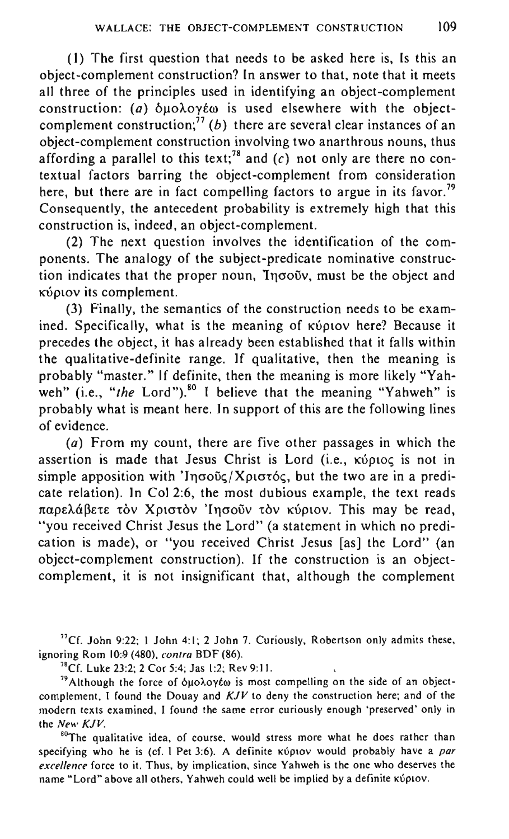(I) The first question that needs to be asked here is, Is this an object-complement construction? In answer to that, note that it meets all three of the principles used in identifying an object-complement construction: (a)  $\delta$ μολογέω is used elsewhere with the objectcomplement construction;<sup>77</sup> (b) there are several clear instances of an object-complement construction involving two anarthrous nouns, thus affording a parallel to this text;<sup>78</sup> and (c) not only are there no contextual factors barring the object-complement from consideration here, but there are in fact compelling factors to argue in its favor.<sup>79</sup> Consequently, the antecedent probability is extremely high that this construction is, indeed, an object-complement.

(2) The next question involves the identification of the components. The analogy of the subject-predicate nominative construction indicates that the proper noun, Ingouy, must be the object and κύριον its complement.

(3) Finally, the semantics of the construction needs to be examined. Specifically, what is the meaning of KUPLOV here? Because it precedes the object, it has already been established that it falls within the qualitative-definite range. If qualitative, then the meaning is probably "master." If definite, then the meaning is more likely "Yahweh" (i.e., "the Lord").<sup>80</sup> I believe that the meaning "Yahweh" is probably what is meant here. In support of this are the following lines of evidence.

(a) From my count, there are five other passages in which the assertion is made that Jesus Christ is Lord (i.e., KUpIOC is not in simple apposition with 'Inσοῦς/ Χριστός, but the two are in a predicate relation). In Col 2:6, the most dubious example, the text reads παρελάβετε τον Χριστον Ίησοῦν τον κύριον. This may be read, "you received Christ Jesus the Lord" (a statement in which no predication is made), or "you received Christ Jesus [as] the Lord" (an object-complement construction). If the construction is an objectcomplement, it is not insignificant that, although the complement

"Cf. John 9:22; I John 4:1; 2 John 7. Curiously, Robertson only admits these, ignoring Rom 10:9 (480), *contra* BDF (86).

'"Cf. Luke 23:2; 2 Cor 5:4; Jas 1:2; Rev 9: II.

<sup>79</sup> Although the force of  $\delta$ uo $\lambda$ oy $\epsilon$ ω is most compelling on the side of an objectcomplement, I found the Douay and *KJV* to deny the construction here; and of the **modern texts examined, I found the same error curiously enough ·preserved' only in**  the *New KJV.* 

<sup>80</sup>The qualitative idea, of course, would stress more what he does rather than specifying who he is (cf. 1 Pet 3:6). A definite **KUPLOV** would probably have a *par excellence* **force to it. Thus. by implication, since Yahweh is the one who deserves the**  name "Lord" above all others. Yahweh could well be implied by a definite Kupiov.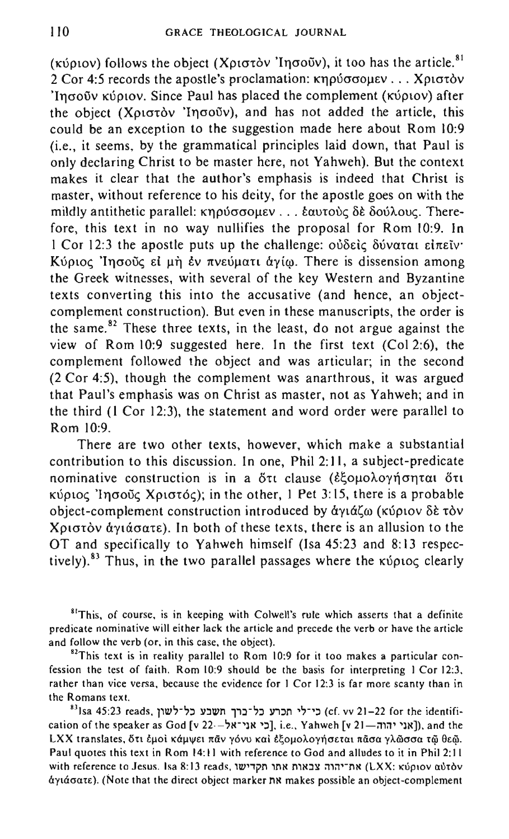( $x\acute{v}$ ptov) follows the object ( $X\rho(\sigma\acute{\sigma}\acute{o}v)$  'Ingo $\ddot{\sigma}v$ ), it too has the article.<sup>81</sup> 2 Cor 4:5 records the apostle's proclamation:  $\kappa$ noύσσομεν ... Xριστόν  $'$ Ingo $\tilde{\sigma}$  iv Kuptov. Since Paul has placed the complement (Kv $\rho$ tov) after the object (X $\rho$ ιστόν 'Inσοῦν), and has not added the article, this could be an exception to the suggestion made here about Rom 10:9 (i.e., it seems, by the grammatical principles laid down, that Paul is only declaring Christ to be master here, not Yahweh). But the context makes it clear that the author's emphasis is indeed that Christ is master, without reference to his deity, for the apostle goes on with the mildly antithetic parallel: κηρύσσομεν ... εαυτούς δε δούλους. Therefore, this text in no way nullifies the proposal for Rom 10:9. In I Cor 12:3 the apostle puts up the challenge:  $\partial \delta \delta \epsilon i \zeta \delta \delta \nu \alpha \tau \alpha \epsilon i \pi \epsilon \delta \nu'$ Kύριος 'Inσοῦς εί μὴ ἐν πνεύματι άνίω. There is dissension among the Greek witnesses, with several of the key Western and Byzantine texts converting this into the accusative (and hence, an objectcomplement construction). But even in these manuscripts, the order is the same.<sup>82</sup> These three texts, in the least, do not argue against the view of Rom 10:9 suggested here. In the first text (Col 2:6), the complement followed the object and was articular; in the second (2 Cor 4:5), though the complement was anarthrous, it was argued that Paul's emphasis was on Christ as master, not as Yahweh; and in the third (I Cor 12:3), the statement and word order were parallel to Rom 10:9.

There are two other texts, however, which make a substantial contribution to this discussion. In one, Phil 2:1 I, a subject-predicate nominative construction is in a ött clause (εξομολογήσηται ότι  $\kappa$ ύριος 'lησοῦς Χριστός); in the other, l Pet 3:15, there is a probable object-complement construction introduced by άγιάζω (κύριον δε τον Xριστὸν ἀγιάσατε). In both of these texts, there is an allusion to the OT and specifically to Yahweh himself (Isa 45:23 and 8: 13 respectively).<sup>83</sup> Thus, in the two parallel passages where the  $\kappa\psi\rho\iota o\varsigma$  clearly

**<sup>81</sup>This. of course, is in keeping with Colwe])'s rule which asserts that a definite predicate nominative will either lack the article and precede the verb or have the article**  and follow the verb (or, in this case, the object).

<sup>82</sup>This text is in reality parallel to Rom 10:9 for it too makes a particular con**fession the test of faith. Rom 10:9 should be the basis for interpreting I Cor 12:3.**  rather than vice versa, because the evidence for 1 Cor 12:3 is far more scanty than in **the Romans text.** 

 ${}^{83}$ Isa 45:23 reads, כי־לי תכרע כל־כרך תשבע כל־לשון (cf. vv 21-22 for the identification of the speaker as God [v 22--'N'), i.e., Yahweh [v 21--mm]), and the LXX translates, δτι έμοι κάμψει παν γόνυ και εξομολογήσεται πασα γλώσσα τω θεώ. Paul quotes this text in Rom 14: **II** with reference to God and alludes to it in Phil 2: **II**  with **reference to Jesus. Isa 8:13 reads, את־יהוה צבאות אתו (LXX: κύριον αύτὸν 6:yuxcrutB). (Note that the direct object marker nN makes possible an object-complement**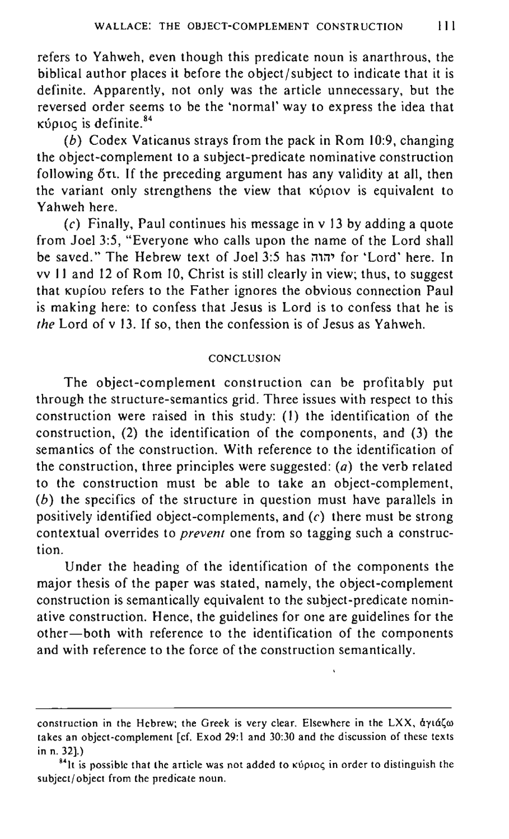refers to Yahweh, even though this predicate noun is anarthrous, the biblical author places it before the object/subject to indicate that it is definite. Apparently, not only was the article unnecessary, but the reversed order seems to be the 'normal' way to express the idea that κύριος is definite.<sup>84</sup>

(b) Codex Vaticanus strays from the pack in Rom 10:9, changing the object-complement to a subject-predicate nominative construction following  $\delta \tau$ . If the preceding argument has any validity at all, then the variant only strengthens the view that **KUPIOU** is equivalent to Yahweh here.

(c) Finally, Paul continues his message in  $v$  13 by adding a quote from Joel 3:5, "Everyone who calls upon the name of the Lord shall be saved." The Hebrew text of Joel 3:5 has יהוה for 'Lord' here. In vv 11 and 12 of Rom 10, Christ is still clearly in view; thus, to suggest that Kupiou refers to the Father ignores the obvious connection Paul is making here: to confess that Jesus is Lord is to confess that he is *the* Lord of v 13. If so, then the confession is of Jesus as Yahweh.

#### CONCLUSION

The object-complement construction can be profitably put through the structure-semantics grid. Three issues with respect to this construction were raised in this study: (I) the identification of the construction, (2) the identification of the components, and (3) the semantics of the construction. With reference to the identification of the construction, three principles were suggested:  $(a)$  the verb related to the construction must be able to take an object-complement, (b) the specifics of the structure in question must have parallels in positively identified object-complements, and  $(c)$  there must be strong contextual overrides to *prevent* one from so tagging such a construction.

Under the heading of the identification of the components the major thesis of the paper was stated, namely, the object-complement construction is semantically equivalent to the subject-predicate nominative construction. Hence, the guidelines for one are guidelines for the other-both with reference to the identification of the components and with reference to the force of the construction semantically.

construction in the Hebrew; the Greek is very clear. Elsewhere in the LXX, αγιάζω takes an object-complement [cf. Exod 29:1 and 30:30 and the discussion of these texts in n. 32].)

<sup>&</sup>lt;sup>84</sup>lt is possible that the article was not added to  $\kappa$  proces in order to distinguish the subject/object from the predicate noun.